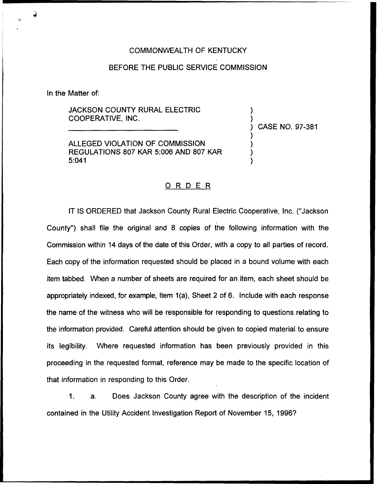## COMMONWEALTH OF KENTUCKY

## BEFORE THE PUBLIC SERVICE COMMISSION

In the Matter of:

JACKSON COUNTY RURAL ELECTRIC COOPERATIVE, INC.

ALLEGED VIOLATION OF COMMISSION REGULATIONS 807 KAR 5:006 AND 807 KAR 5:041

) CASE NO. 97-381

) )

) ) ) )

## ORDER

IT IS ORDERED that Jackson County Rural Electric Cooperative, Inc. ("Jackson County") shall file the original and 8 copies of the following information with the Commission within 14 days of the date of this Order, with a copy to all parties of record. Each copy of the information requested should be placed in a bound volume with each item tabbed. When a number of sheets are required for an item, each sheet should be appropriately indexed, for example, Item 1(a), Sheet 2 of 6. Include with each response the name of the witness who will be responsible for responding to questions relating to the information provided. Careful attention should be given to copied material to ensure its legibility. Where requested information has been previously provided in this proceeding in the requested format, reference may be made to the specific location of that information in responding to this Order.

 $1<sub>1</sub>$ a. Does Jackson County agree with the description of the incident contained in the Utility Accident Investigation Report of November 15, 1996?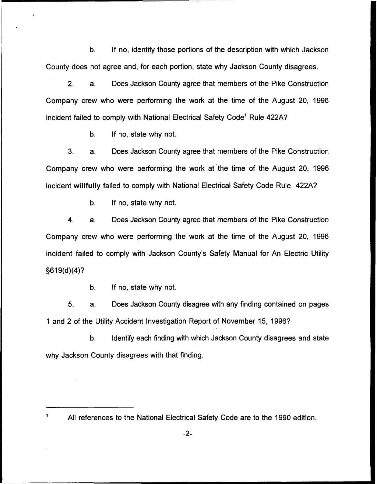b. If no, identify those portions of the description with which Jackson County does not agree and, for each portion, state why Jackson County disagrees.

2. a. Does Jackson County agree that members of the Pike Construction Company crew who were performing the work at the time of the August 20, 1996 incident failed to comply with National Electrical Safety Code" Rule 422A?

b, If no, state why not.

3. a. Does Jackson County agree that members of the Pike Construction Company crew who were performing the work at the time of the August 20, 1996 incident willfully failed to comply with National Electrical Safety Code Rule 422A?

b. If no, state why not.

4. a. Does Jackson County agree that members of the Pike Construction Company crew who were performing the work at the time of the August 20, 1996 incident failed to comply with Jackson County's Safety Manual for An Electric Utility 5619(d)(4)?

b. If no, state why not.

5. a. Does Jackson County disagree with any finding contained on pages <sup>1</sup> and 2 of the Utility Accident Investigation Report of November 15, 1996?

b. Identify each finding with which Jackson County disagrees and state why Jackson County disagrees with that finding.

 $\mathbf{1}$ All references to the National Electrical Safety Code are to the 1990 edition.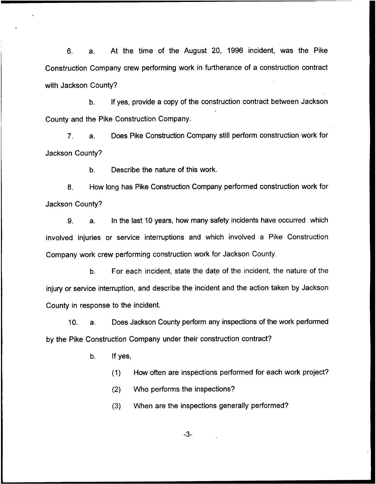6. a. At the time of the August 20, 1996 incident, was the Pike Construction Company crew performing work in furtherance of a construction contract with Jackson County?

b. If yes, provide a copy of the construction contract between Jackson County and the Pike Construction Company.

7. a. Does Pike Construction Company still perform construction work for Jackson County?

b. Describe the nature of this work.

S. How long has Pike Construction Company performed construction work for Jackson County?

9. a. In the last 10 years, how many safety incidents have occurred which involved injuries or service interruptions and which involved a Pike Construction Company work crew performing construction work for Jackson County.

b. For each incident, state the date of the incident, the nature of the injury or service interruption, and describe the incident and the action taken by Jackson County in response to the incident.

10. a. Does Jackson County perform any inspections of the work performed by the Pike Construction Company under their construction contract?

b. If yes,

(1) How often are inspections performed for each work project?

(2} Who performs the inspections?

(3) When are the inspections generally performed?

 $-3-$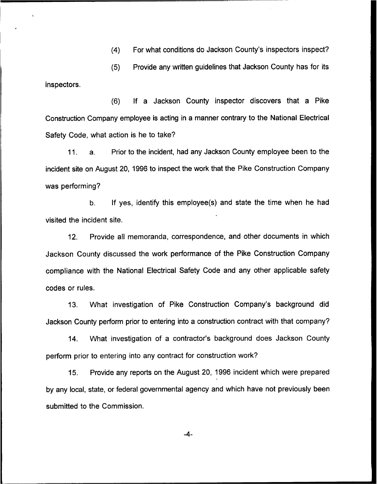(4) For what conditions do Jackson County's inspectors inspect?

(5) Provide any written guidelines that Jackson County has for its inspectors.

(6) If a Jackson County inspector discovers that a Pike Construction Company employee is acting in a manner contrary to the National Electrical Safety Code, what action is he to take?

Prior to the incident, had any Jackson County employee been to the  $11<sub>1</sub>$  $a<sub>1</sub>$ incident site on August 20, 1996 to inspect the work that the Pike Construction Company was performing?

b. If yes, identify this employee(s) and state the time when he had visited the incident site.

12. Provide all memoranda, correspondence, and other documents in which Jackson County discussed the work performance of the Pike Construction Company compliance with the National Electrical Safety Code and any other applicable safety codes or rules.

13. What investigation of Pike Construction Company's background did Jackson County perform prior to entering into a construction contract with that company?

14. What investigation of a contractor's background does Jackson County perform prior to entering into any contract for construction work?

15. Provide any reports on the August 20, 1996 incident which were prepared by any local, state, or federal governmental agency and which have not previously been submitted to the Commission.

 $-4-$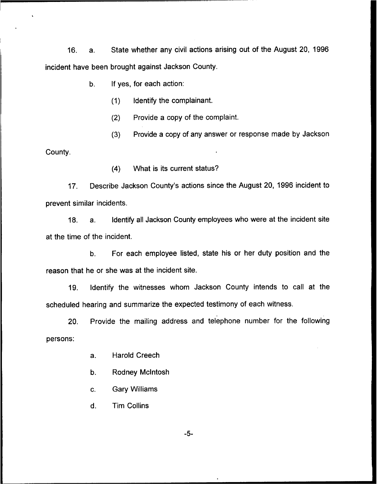16. a. State whether any civil actions arising out of the August 20, 1996 incident have been brought against Jackson County.

- $b<sub>1</sub>$ If yes, for each action:
	- (1) Identify the complainant.
	- (2) Provide a copy of the complaint.
	- (3) Provide a copy of any answer or response made by Jackson

County.

(4) What is its current status?

17. Describe Jackson County's actions since the August 20, 1996 incident to prevent similar incidents.

18. a. Identify all Jackson County employees who were at the incident site at the time of the incident.

b. For each employee listed, state his or her duty position and the reason that he or she was at the incident site.

19. Identify the witnesses whom Jackson County intends to call at the scheduled hearing and summarize the expected testimony of each witness.

20. Provide the mailing address and telephone number for the following persons:

- a. Harold Creech
- b. Rodney Mclntosh
- c. Gary Williams
- d. Tim Collins

 $-5-$